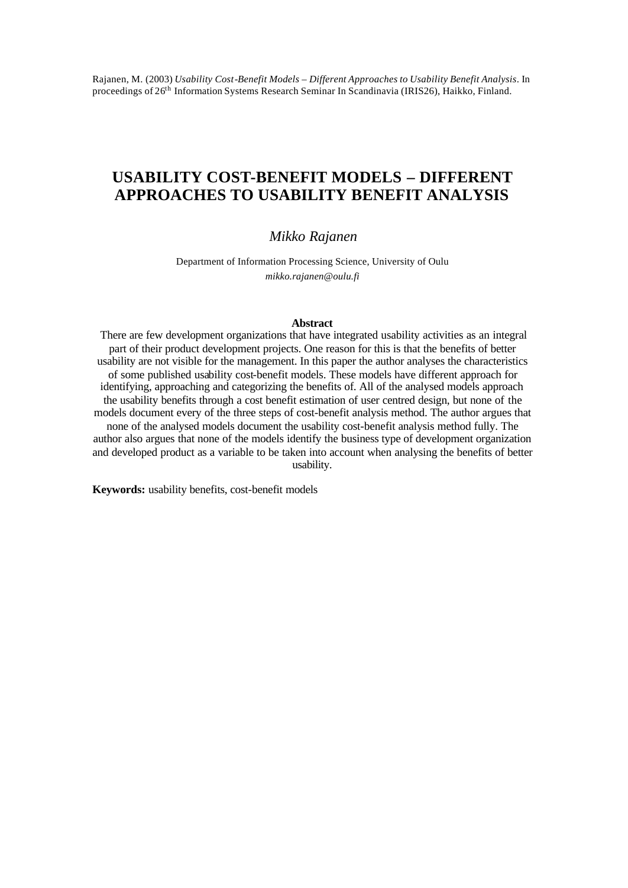# **USABILITY COST-BENEFIT MODELS – DIFFERENT APPROACHES TO USABILITY BENEFIT ANALYSIS**

### *Mikko Rajanen*

Department of Information Processing Science, University of Oulu *mikko.rajanen@oulu.fi*

#### **Abstract**

There are few development organizations that have integrated usability activities as an integral part of their product development projects. One reason for this is that the benefits of better usability are not visible for the management. In this paper the author analyses the characteristics of some published usability cost-benefit models. These models have different approach for identifying, approaching and categorizing the benefits of. All of the analysed models approach the usability benefits through a cost benefit estimation of user centred design, but none of the models document every of the three steps of cost-benefit analysis method. The author argues that none of the analysed models document the usability cost-benefit analysis method fully. The author also argues that none of the models identify the business type of development organization and developed product as a variable to be taken into account when analysing the benefits of better usability.

**Keywords:** usability benefits, cost-benefit models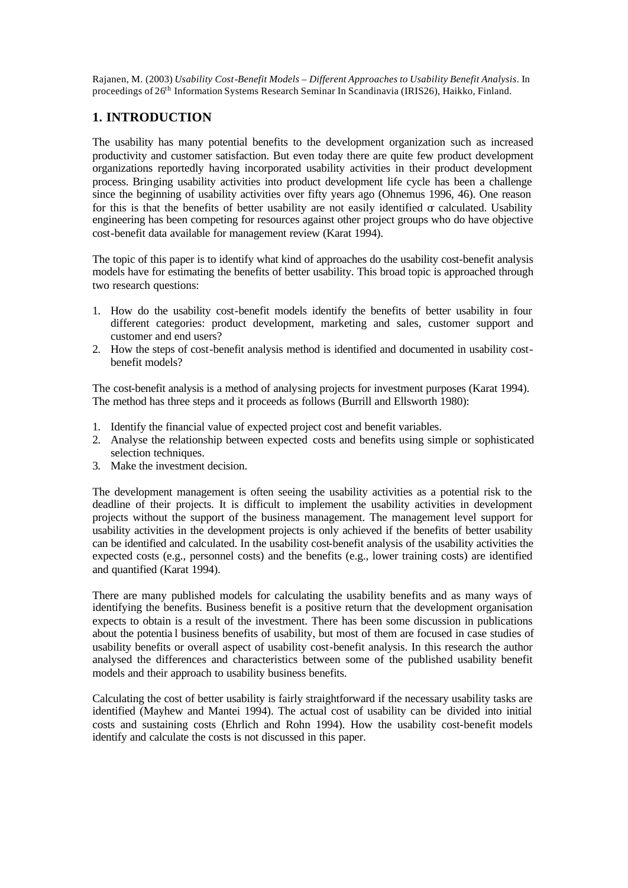## **1. INTRODUCTION**

The usability has many potential benefits to the development organization such as increased productivity and customer satisfaction. But even today there are quite few product development organizations reportedly having incorporated usability activities in their product development process. Bringing usability activities into product development life cycle has been a challenge since the beginning of usability activities over fifty years ago (Ohnemus 1996, 46). One reason for this is that the benefits of better usability are not easily identified  $\alpha$  calculated. Usability engineering has been competing for resources against other project groups who do have objective cost-benefit data available for management review (Karat 1994).

The topic of this paper is to identify what kind of approaches do the usability cost-benefit analysis models have for estimating the benefits of better usability. This broad topic is approached through two research questions:

- 1. How do the usability cost-benefit models identify the benefits of better usability in four different categories: product development, marketing and sales, customer support and customer and end users?
- 2. How the steps of cost-benefit analysis method is identified and documented in usability costbenefit models?

The cost-benefit analysis is a method of analysing projects for investment purposes (Karat 1994). The method has three steps and it proceeds as follows (Burrill and Ellsworth 1980):

- 1. Identify the financial value of expected project cost and benefit variables.
- 2. Analyse the relationship between expected costs and benefits using simple or sophisticated selection techniques.
- 3. Make the investment decision.

The development management is often seeing the usability activities as a potential risk to the deadline of their projects. It is difficult to implement the usability activities in development projects without the support of the business management. The management level support for usability activities in the development projects is only achieved if the benefits of better usability can be identified and calculated. In the usability cost-benefit analysis of the usability activities the expected costs (e.g., personnel costs) and the benefits (e.g., lower training costs) are identified and quantified (Karat 1994).

There are many published models for calculating the usability benefits and as many ways of identifying the benefits. Business benefit is a positive return that the development organisation expects to obtain is a result of the investment. There has been some discussion in publications about the potentia l business benefits of usability, but most of them are focused in case studies of usability benefits or overall aspect of usability cost-benefit analysis. In this research the author analysed the differences and characteristics between some of the published usability benefit models and their approach to usability business benefits.

Calculating the cost of better usability is fairly straightforward if the necessary usability tasks are identified (Mayhew and Mantei 1994). The actual cost of usability can be divided into initial costs and sustaining costs (Ehrlich and Rohn 1994). How the usability cost-benefit models identify and calculate the costs is not discussed in this paper.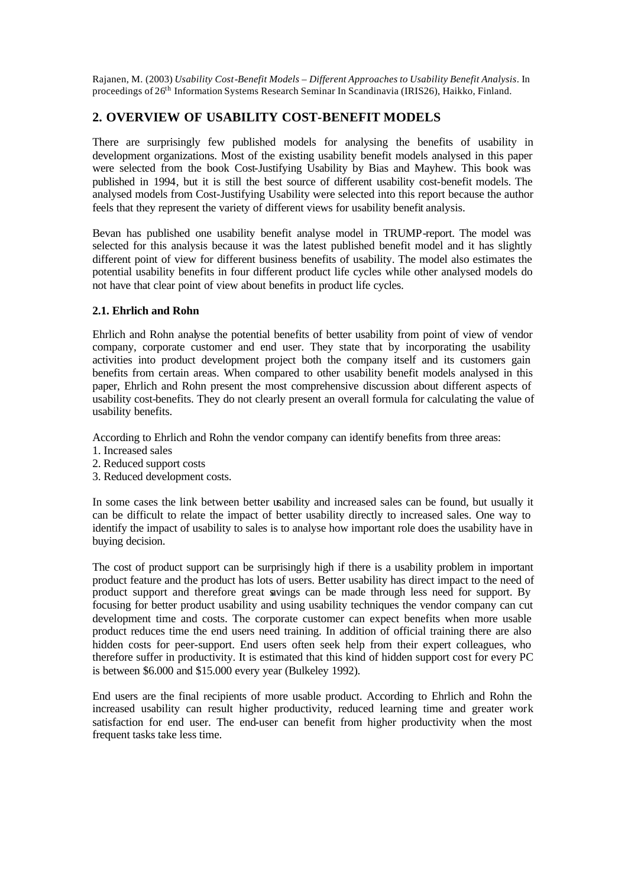### **2. OVERVIEW OF USABILITY COST-BENEFIT MODELS**

There are surprisingly few published models for analysing the benefits of usability in development organizations. Most of the existing usability benefit models analysed in this paper were selected from the book Cost-Justifying Usability by Bias and Mayhew. This book was published in 1994, but it is still the best source of different usability cost-benefit models. The analysed models from Cost-Justifying Usability were selected into this report because the author feels that they represent the variety of different views for usability benefit analysis.

Bevan has published one usability benefit analyse model in TRUMP-report. The model was selected for this analysis because it was the latest published benefit model and it has slightly different point of view for different business benefits of usability. The model also estimates the potential usability benefits in four different product life cycles while other analysed models do not have that clear point of view about benefits in product life cycles.

#### **2.1. Ehrlich and Rohn**

Ehrlich and Rohn analyse the potential benefits of better usability from point of view of vendor company, corporate customer and end user. They state that by incorporating the usability activities into product development project both the company itself and its customers gain benefits from certain areas. When compared to other usability benefit models analysed in this paper, Ehrlich and Rohn present the most comprehensive discussion about different aspects of usability cost-benefits. They do not clearly present an overall formula for calculating the value of usability benefits.

According to Ehrlich and Rohn the vendor company can identify benefits from three areas:

- 1. Increased sales
- 2. Reduced support costs
- 3. Reduced development costs.

In some cases the link between better usability and increased sales can be found, but usually it can be difficult to relate the impact of better usability directly to increased sales. One way to identify the impact of usability to sales is to analyse how important role does the usability have in buying decision.

The cost of product support can be surprisingly high if there is a usability problem in important product feature and the product has lots of users. Better usability has direct impact to the need of product support and therefore great savings can be made through less need for support. By focusing for better product usability and using usability techniques the vendor company can cut development time and costs. The corporate customer can expect benefits when more usable product reduces time the end users need training. In addition of official training there are also hidden costs for peer-support. End users often seek help from their expert colleagues, who therefore suffer in productivity. It is estimated that this kind of hidden support cost for every PC is between \$6.000 and \$15.000 every year (Bulkeley 1992).

End users are the final recipients of more usable product. According to Ehrlich and Rohn the increased usability can result higher productivity, reduced learning time and greater work satisfaction for end user. The end-user can benefit from higher productivity when the most frequent tasks take less time.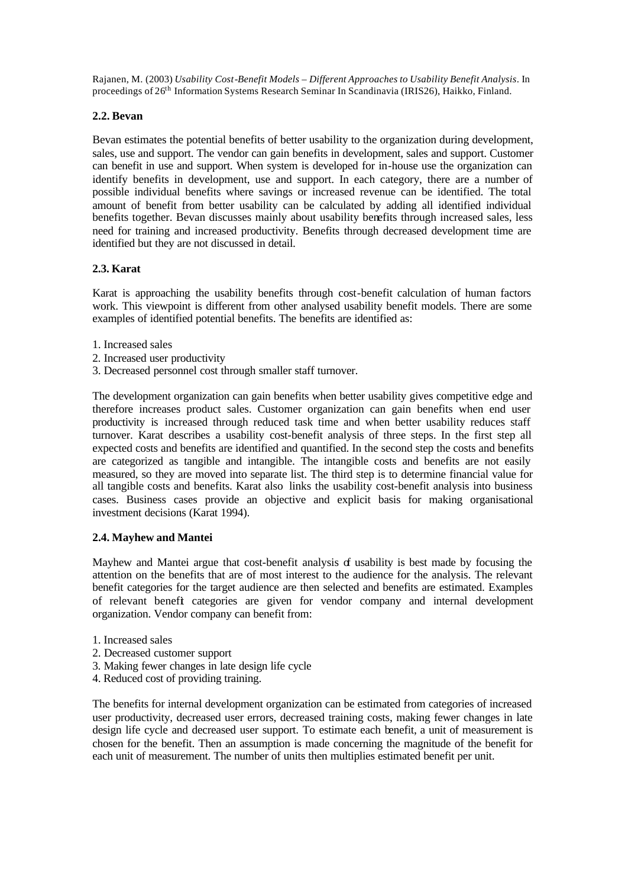#### **2.2. Bevan**

Bevan estimates the potential benefits of better usability to the organization during development, sales, use and support. The vendor can gain benefits in development, sales and support. Customer can benefit in use and support. When system is developed for in-house use the organization can identify benefits in development, use and support. In each category, there are a number of possible individual benefits where savings or increased revenue can be identified. The total amount of benefit from better usability can be calculated by adding all identified individual benefits together. Bevan discusses mainly about usability benefits through increased sales, less need for training and increased productivity. Benefits through decreased development time are identified but they are not discussed in detail.

#### **2.3. Karat**

Karat is approaching the usability benefits through cost-benefit calculation of human factors work. This viewpoint is different from other analysed usability benefit models. There are some examples of identified potential benefits. The benefits are identified as:

- 1. Increased sales
- 2. Increased user productivity
- 3. Decreased personnel cost through smaller staff turnover.

The development organization can gain benefits when better usability gives competitive edge and therefore increases product sales. Customer organization can gain benefits when end user productivity is increased through reduced task time and when better usability reduces staff turnover. Karat describes a usability cost-benefit analysis of three steps. In the first step all expected costs and benefits are identified and quantified. In the second step the costs and benefits are categorized as tangible and intangible. The intangible costs and benefits are not easily measured, so they are moved into separate list. The third step is to determine financial value for all tangible costs and benefits. Karat also links the usability cost-benefit analysis into business cases. Business cases provide an objective and explicit basis for making organisational investment decisions (Karat 1994).

#### **2.4. Mayhew and Mantei**

Mayhew and Mantei argue that cost-benefit analysis of usability is best made by focusing the attention on the benefits that are of most interest to the audience for the analysis. The relevant benefit categories for the target audience are then selected and benefits are estimated. Examples of relevant benefit categories are given for vendor company and internal development organization. Vendor company can benefit from:

- 1. Increased sales
- 2. Decreased customer support
- 3. Making fewer changes in late design life cycle
- 4. Reduced cost of providing training.

The benefits for internal development organization can be estimated from categories of increased user productivity, decreased user errors, decreased training costs, making fewer changes in late design life cycle and decreased user support. To estimate each benefit, a unit of measurement is chosen for the benefit. Then an assumption is made concerning the magnitude of the benefit for each unit of measurement. The number of units then multiplies estimated benefit per unit.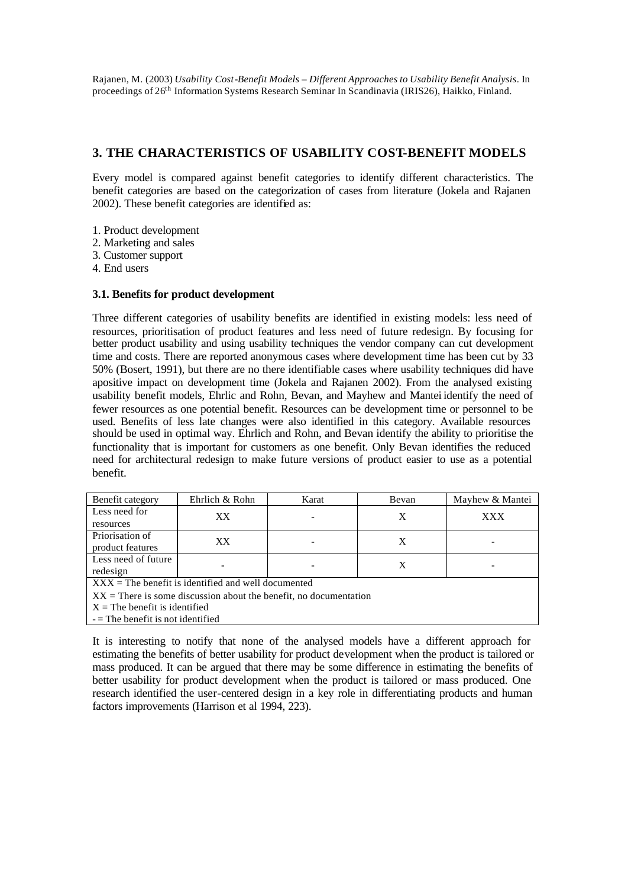### **3. THE CHARACTERISTICS OF USABILITY COST-BENEFIT MODELS**

Every model is compared against benefit categories to identify different characteristics. The benefit categories are based on the categorization of cases from literature (Jokela and Rajanen 2002). These benefit categories are identified as:

- 1. Product development
- 2. Marketing and sales
- 3. Customer support
- 4. End users

#### **3.1. Benefits for product development**

Three different categories of usability benefits are identified in existing models: less need of resources, prioritisation of product features and less need of future redesign. By focusing for better product usability and using usability techniques the vendor company can cut development time and costs. There are reported anonymous cases where development time has been cut by 33 50% (Bosert, 1991), but there are no there identifiable cases where usability techniques did have apositive impact on development time (Jokela and Rajanen 2002). From the analysed existing usability benefit models, Ehrlic and Rohn, Bevan, and Mayhew and Mantei identify the need of fewer resources as one potential benefit. Resources can be development time or personnel to be used. Benefits of less late changes were also identified in this category. Available resources should be used in optimal way. Ehrlich and Rohn, and Bevan identify the ability to prioritise the functionality that is important for customers as one benefit. Only Bevan identifies the reduced need for architectural redesign to make future versions of product easier to use as a potential benefit.

| Benefit category                                  | Ehrlich & Rohn | Karat | Bevan | Mayhew & Mantei |
|---------------------------------------------------|----------------|-------|-------|-----------------|
| Less need for                                     | XХ             |       |       | XXX             |
| resources                                         |                |       |       |                 |
| Priorisation of                                   | XХ             |       |       |                 |
| product features                                  |                |       |       |                 |
| Less need of future                               |                |       |       |                 |
| redesign                                          |                |       |       |                 |
| VVV The houskit is identified and well documented |                |       |       |                 |

 $XXX =$ The benefit is identified and well documented

 $XX =$ There is some discussion about the benefit, no documentation

 $X =$ The benefit is identified

 $-$  = The benefit is not identified

It is interesting to notify that none of the analysed models have a different approach for estimating the benefits of better usability for product development when the product is tailored or mass produced. It can be argued that there may be some difference in estimating the benefits of better usability for product development when the product is tailored or mass produced. One research identified the user-centered design in a key role in differentiating products and human factors improvements (Harrison et al 1994, 223).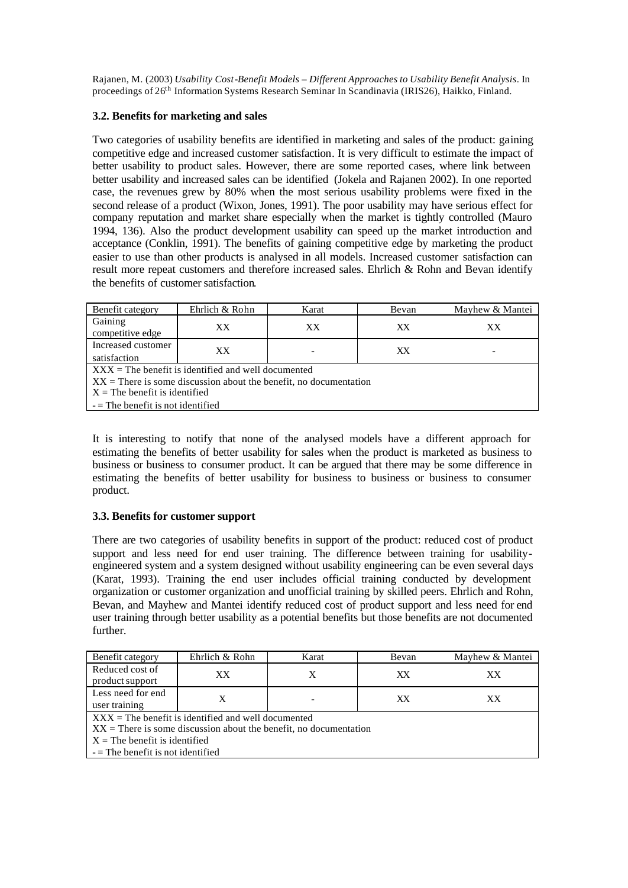### **3.2. Benefits for marketing and sales**

Two categories of usability benefits are identified in marketing and sales of the product: gaining competitive edge and increased customer satisfaction. It is very difficult to estimate the impact of better usability to product sales. However, there are some reported cases, where link between better usability and increased sales can be identified (Jokela and Rajanen 2002). In one reported case, the revenues grew by 80% when the most serious usability problems were fixed in the second release of a product (Wixon, Jones, 1991). The poor usability may have serious effect for company reputation and market share especially when the market is tightly controlled (Mauro 1994, 136). Also the product development usability can speed up the market introduction and acceptance (Conklin, 1991). The benefits of gaining competitive edge by marketing the product easier to use than other products is analysed in all models. Increased customer satisfaction can result more repeat customers and therefore increased sales. Ehrlich & Rohn and Bevan identify the benefits of customer satisfaction.

| Benefit category                                                    | Ehrlich & Rohn | Karat | Bevan | Mayhew & Mantei |
|---------------------------------------------------------------------|----------------|-------|-------|-----------------|
| Gaining<br>competitive edge                                         | XX             | XX    | XX    | XX              |
| Increased customer<br>satisfaction                                  | XX             |       | XX    |                 |
| $XXX$ = The benefit is identified and well documented               |                |       |       |                 |
| $XX$ = There is some discussion about the benefit, no documentation |                |       |       |                 |
| $X =$ The benefit is identified                                     |                |       |       |                 |
| $=$ The benefit is not identified                                   |                |       |       |                 |

It is interesting to notify that none of the analysed models have a different approach for estimating the benefits of better usability for sales when the product is marketed as business to business or business to consumer product. It can be argued that there may be some difference in estimating the benefits of better usability for business to business or business to consumer product.

### **3.3. Benefits for customer support**

There are two categories of usability benefits in support of the product: reduced cost of product support and less need for end user training. The difference between training for usabilityengineered system and a system designed without usability engineering can be even several days (Karat, 1993). Training the end user includes official training conducted by development organization or customer organization and unofficial training by skilled peers. Ehrlich and Rohn, Bevan, and Mayhew and Mantei identify reduced cost of product support and less need for end user training through better usability as a potential benefits but those benefits are not documented further.

| Benefit category                                                                                                                                                                                     | Ehrlich & Rohn | Karat | Bevan | Mayhew & Mantei |  |
|------------------------------------------------------------------------------------------------------------------------------------------------------------------------------------------------------|----------------|-------|-------|-----------------|--|
| Reduced cost of<br>product support                                                                                                                                                                   | XX             | X     | XX    | XХ              |  |
| Less need for end<br>user training                                                                                                                                                                   | X              |       | XX    | xх              |  |
| $XXX =$ The benefit is identified and well documented<br>$XX$ = There is some discussion about the benefit, no documentation<br>$X =$ The benefit is identified<br>$-$ The benefit is not identified |                |       |       |                 |  |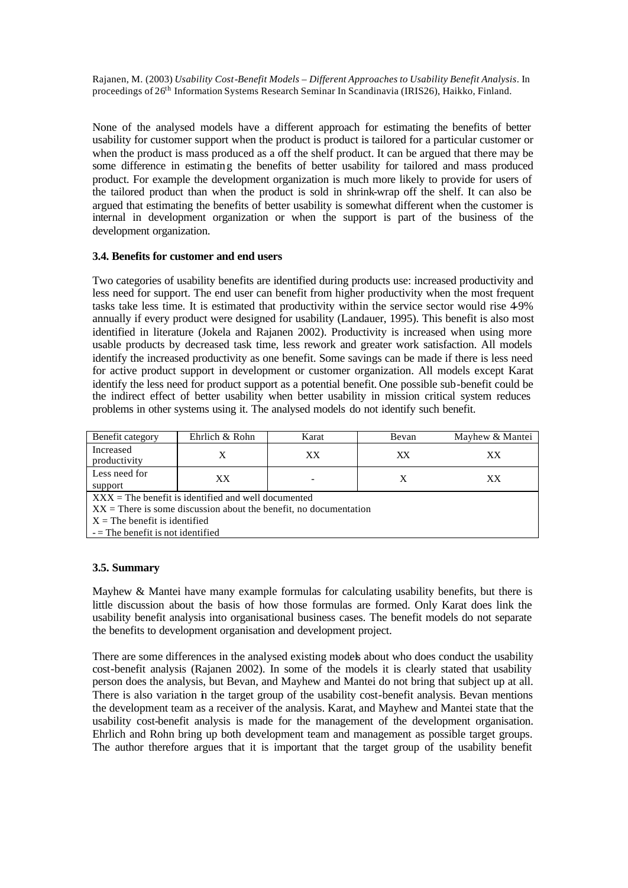None of the analysed models have a different approach for estimating the benefits of better usability for customer support when the product is product is tailored for a particular customer or when the product is mass produced as a off the shelf product. It can be argued that there may be some difference in estimating the benefits of better usability for tailored and mass produced product. For example the development organization is much more likely to provide for users of the tailored product than when the product is sold in shrink-wrap off the shelf. It can also be argued that estimating the benefits of better usability is somewhat different when the customer is internal in development organization or when the support is part of the business of the development organization.

#### **3.4. Benefits for customer and end users**

Two categories of usability benefits are identified during products use: increased productivity and less need for support. The end user can benefit from higher productivity when the most frequent tasks take less time. It is estimated that productivity within the service sector would rise 4-9% annually if every product were designed for usability (Landauer, 1995). This benefit is also most identified in literature (Jokela and Rajanen 2002). Productivity is increased when using more usable products by decreased task time, less rework and greater work satisfaction. All models identify the increased productivity as one benefit. Some savings can be made if there is less need for active product support in development or customer organization. All models except Karat identify the less need for product support as a potential benefit. One possible sub-benefit could be the indirect effect of better usability when better usability in mission critical system reduces problems in other systems using it. The analysed models do not identify such benefit.

| Benefit category                                             | Ehrlich & Rohn | Karat | Bevan | Mayhew & Mantei |
|--------------------------------------------------------------|----------------|-------|-------|-----------------|
| Increased<br>productivity                                    |                | XХ    | XХ    | xх              |
| Less need for<br>support                                     | XХ             |       |       | xх              |
| $\text{XXX}$ = The benefit is identified and well documented |                |       |       |                 |

 $XX =$ There is some discussion about the benefit, no documentation

 $X =$ The benefit is identified

 $-$  = The benefit is not identified

#### **3.5. Summary**

Mayhew & Mantei have many example formulas for calculating usability benefits, but there is little discussion about the basis of how those formulas are formed. Only Karat does link the usability benefit analysis into organisational business cases. The benefit models do not separate the benefits to development organisation and development project.

There are some differences in the analysed existing models about who does conduct the usability cost-benefit analysis (Rajanen 2002). In some of the models it is clearly stated that usability person does the analysis, but Bevan, and Mayhew and Mantei do not bring that subject up at all. There is also variation in the target group of the usability cost-benefit analysis. Bevan mentions the development team as a receiver of the analysis. Karat, and Mayhew and Mantei state that the usability cost-benefit analysis is made for the management of the development organisation. Ehrlich and Rohn bring up both development team and management as possible target groups. The author therefore argues that it is important that the target group of the usability benefit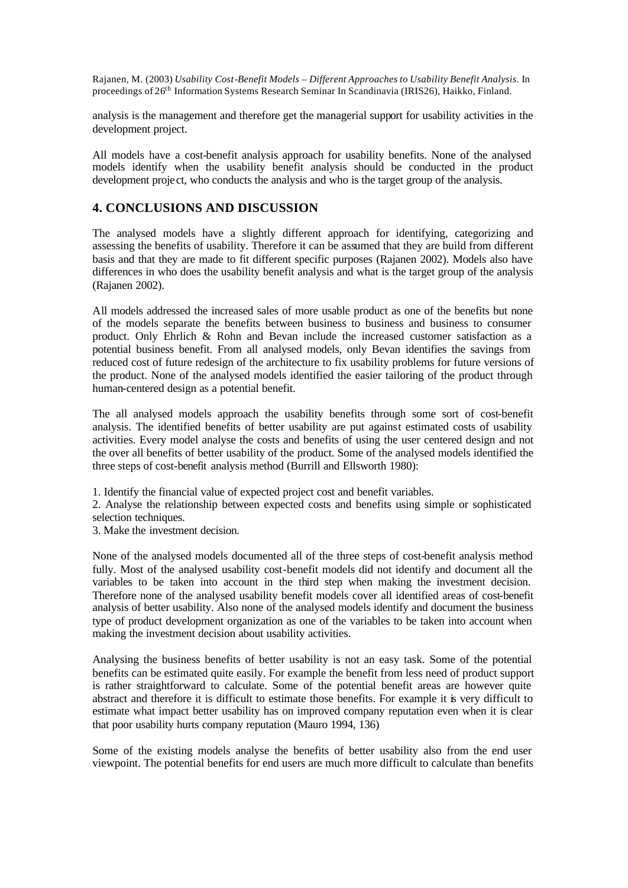analysis is the management and therefore get the managerial support for usability activities in the development project.

All models have a cost-benefit analysis approach for usability benefits. None of the analysed models identify when the usability benefit analysis should be conducted in the product development proje ct, who conducts the analysis and who is the target group of the analysis.

### **4. CONCLUSIONS AND DISCUSSION**

The analysed models have a slightly different approach for identifying, categorizing and assessing the benefits of usability. Therefore it can be assumed that they are build from different basis and that they are made to fit different specific purposes (Rajanen 2002). Models also have differences in who does the usability benefit analysis and what is the target group of the analysis (Rajanen 2002).

All models addressed the increased sales of more usable product as one of the benefits but none of the models separate the benefits between business to business and business to consumer product. Only Ehrlich & Rohn and Bevan include the increased customer satisfaction as a potential business benefit. From all analysed models, only Bevan identifies the savings from reduced cost of future redesign of the architecture to fix usability problems for future versions of the product. None of the analysed models identified the easier tailoring of the product through human-centered design as a potential benefit.

The all analysed models approach the usability benefits through some sort of cost-benefit analysis. The identified benefits of better usability are put against estimated costs of usability activities. Every model analyse the costs and benefits of using the user centered design and not the over all benefits of better usability of the product. Some of the analysed models identified the three steps of cost-benefit analysis method (Burrill and Ellsworth 1980):

1. Identify the financial value of expected project cost and benefit variables.

2. Analyse the relationship between expected costs and benefits using simple or sophisticated selection techniques.

3. Make the investment decision.

None of the analysed models documented all of the three steps of cost-benefit analysis method fully. Most of the analysed usability cost-benefit models did not identify and document all the variables to be taken into account in the third step when making the investment decision. Therefore none of the analysed usability benefit models cover all identified areas of cost-benefit analysis of better usability. Also none of the analysed models identify and document the business type of product development organization as one of the variables to be taken into account when making the investment decision about usability activities.

Analysing the business benefits of better usability is not an easy task. Some of the potential benefits can be estimated quite easily. For example the benefit from less need of product support is rather straightforward to calculate. Some of the potential benefit areas are however quite abstract and therefore it is difficult to estimate those benefits. For example it is very difficult to estimate what impact better usability has on improved company reputation even when it is clear that poor usability hurts company reputation (Mauro 1994, 136)

Some of the existing models analyse the benefits of better usability also from the end user viewpoint. The potential benefits for end users are much more difficult to calculate than benefits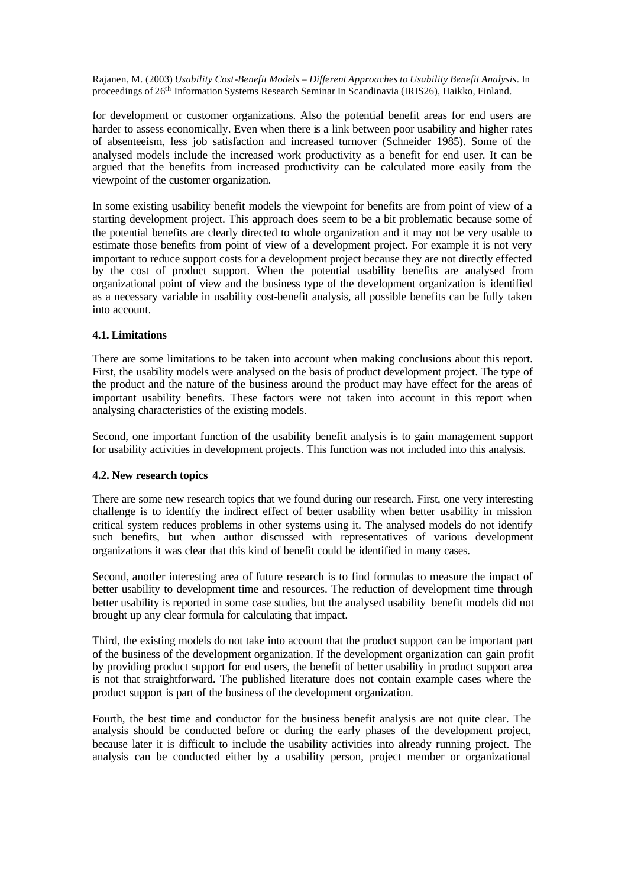for development or customer organizations. Also the potential benefit areas for end users are harder to assess economically. Even when there is a link between poor usability and higher rates of absenteeism, less job satisfaction and increased turnover (Schneider 1985). Some of the analysed models include the increased work productivity as a benefit for end user. It can be argued that the benefits from increased productivity can be calculated more easily from the viewpoint of the customer organization.

In some existing usability benefit models the viewpoint for benefits are from point of view of a starting development project. This approach does seem to be a bit problematic because some of the potential benefits are clearly directed to whole organization and it may not be very usable to estimate those benefits from point of view of a development project. For example it is not very important to reduce support costs for a development project because they are not directly effected by the cost of product support. When the potential usability benefits are analysed from organizational point of view and the business type of the development organization is identified as a necessary variable in usability cost-benefit analysis, all possible benefits can be fully taken into account.

#### **4.1. Limitations**

There are some limitations to be taken into account when making conclusions about this report. First, the usability models were analysed on the basis of product development project. The type of the product and the nature of the business around the product may have effect for the areas of important usability benefits. These factors were not taken into account in this report when analysing characteristics of the existing models.

Second, one important function of the usability benefit analysis is to gain management support for usability activities in development projects. This function was not included into this analysis.

#### **4.2. New research topics**

There are some new research topics that we found during our research. First, one very interesting challenge is to identify the indirect effect of better usability when better usability in mission critical system reduces problems in other systems using it. The analysed models do not identify such benefits, but when author discussed with representatives of various development organizations it was clear that this kind of benefit could be identified in many cases.

Second, another interesting area of future research is to find formulas to measure the impact of better usability to development time and resources. The reduction of development time through better usability is reported in some case studies, but the analysed usability benefit models did not brought up any clear formula for calculating that impact.

Third, the existing models do not take into account that the product support can be important part of the business of the development organization. If the development organization can gain profit by providing product support for end users, the benefit of better usability in product support area is not that straightforward. The published literature does not contain example cases where the product support is part of the business of the development organization.

Fourth, the best time and conductor for the business benefit analysis are not quite clear. The analysis should be conducted before or during the early phases of the development project, because later it is difficult to include the usability activities into already running project. The analysis can be conducted either by a usability person, project member or organizational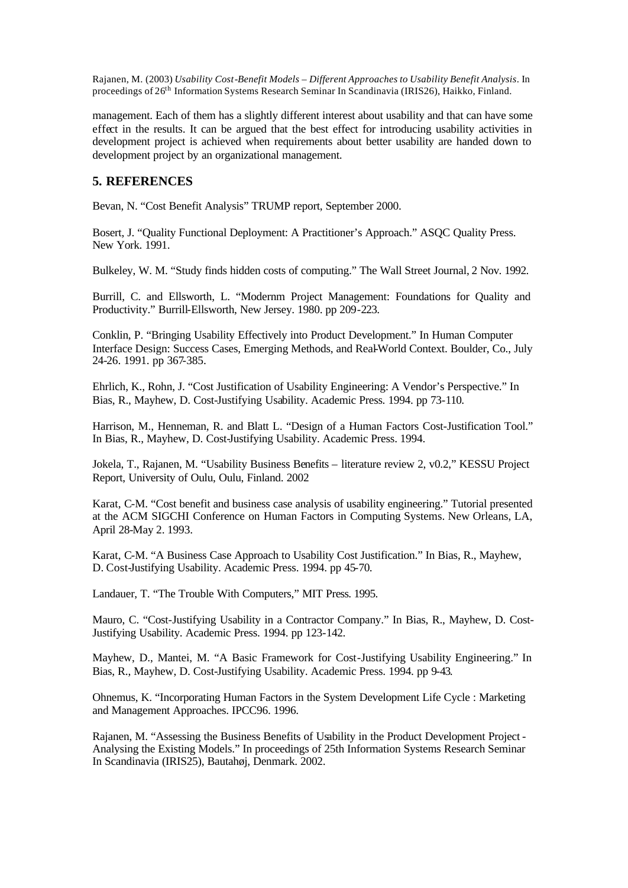management. Each of them has a slightly different interest about usability and that can have some effect in the results. It can be argued that the best effect for introducing usability activities in development project is achieved when requirements about better usability are handed down to development project by an organizational management.

### **5. REFERENCES**

Bevan, N. "Cost Benefit Analysis" TRUMP report, September 2000.

Bosert, J. "Quality Functional Deployment: A Practitioner's Approach." ASQC Quality Press. New York. 1991.

Bulkeley, W. M. "Study finds hidden costs of computing." The Wall Street Journal, 2 Nov. 1992.

Burrill, C. and Ellsworth, L. "Modernm Project Management: Foundations for Quality and Productivity." Burrill-Ellsworth, New Jersey. 1980. pp 209-223.

Conklin, P. "Bringing Usability Effectively into Product Development." In Human Computer Interface Design: Success Cases, Emerging Methods, and Real-World Context. Boulder, Co., July 24-26. 1991. pp 367-385.

Ehrlich, K., Rohn, J. "Cost Justification of Usability Engineering: A Vendor's Perspective." In Bias, R., Mayhew, D. Cost-Justifying Usability. Academic Press. 1994. pp 73-110.

Harrison, M., Henneman, R. and Blatt L. "Design of a Human Factors Cost-Justification Tool." In Bias, R., Mayhew, D. Cost-Justifying Usability. Academic Press. 1994.

Jokela, T., Rajanen, M. "Usability Business Benefits – literature review 2, v0.2," KESSU Project Report, University of Oulu, Oulu, Finland. 2002

Karat, C-M. "Cost benefit and business case analysis of usability engineering." Tutorial presented at the ACM SIGCHI Conference on Human Factors in Computing Systems. New Orleans, LA, April 28-May 2. 1993.

Karat, C-M. "A Business Case Approach to Usability Cost Justification." In Bias, R., Mayhew, D. Cost-Justifying Usability. Academic Press. 1994. pp 45-70.

Landauer, T. "The Trouble With Computers," MIT Press. 1995.

Mauro, C. "Cost-Justifying Usability in a Contractor Company." In Bias, R., Mayhew, D. Cost-Justifying Usability. Academic Press. 1994. pp 123-142.

Mayhew, D., Mantei, M. "A Basic Framework for Cost-Justifying Usability Engineering." In Bias, R., Mayhew, D. Cost-Justifying Usability. Academic Press. 1994. pp 9-43.

Ohnemus, K. "Incorporating Human Factors in the System Development Life Cycle : Marketing and Management Approaches. IPCC96. 1996.

Rajanen, M. "Assessing the Business Benefits of Usability in the Product Development Project - Analysing the Existing Models." In proceedings of 25th Information Systems Research Seminar In Scandinavia (IRIS25), Bautahøj, Denmark. 2002.